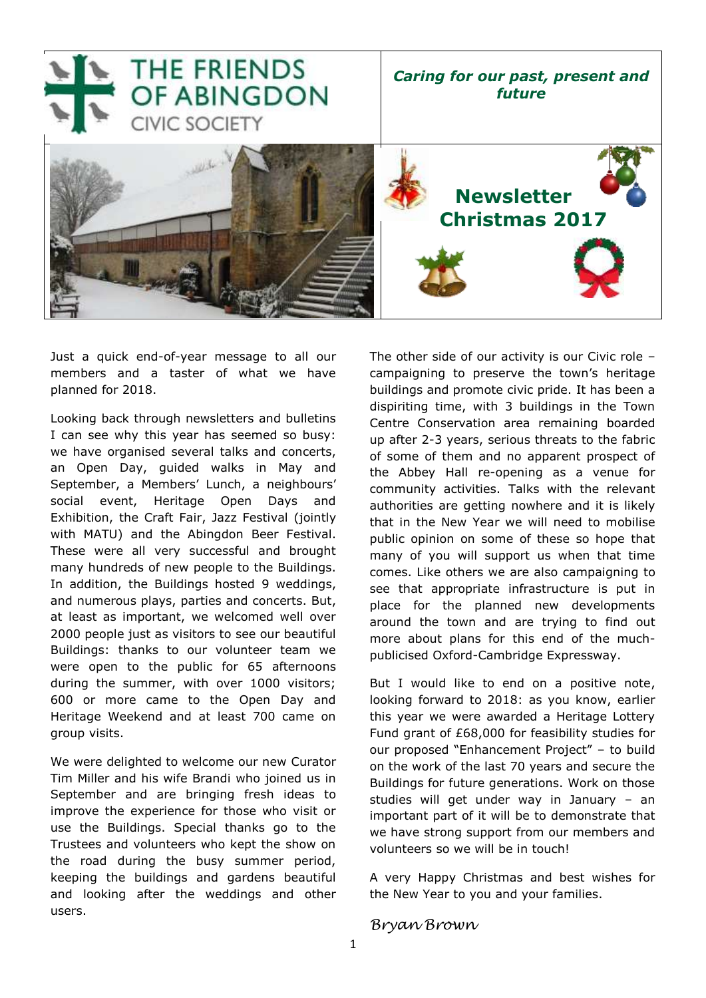

Just a quick end-of-year message to all our members and a taster of what we have planned for 2018.

Looking back through newsletters and bulletins I can see why this year has seemed so busy: we have organised several talks and concerts, an Open Day, guided walks in May and September, a Members' Lunch, a neighbours' social event, Heritage Open Days and Exhibition, the Craft Fair, Jazz Festival (jointly with MATU) and the Abingdon Beer Festival. These were all very successful and brought many hundreds of new people to the Buildings. In addition, the Buildings hosted 9 weddings, and numerous plays, parties and concerts. But, at least as important, we welcomed well over 2000 people just as visitors to see our beautiful Buildings: thanks to our volunteer team we were open to the public for 65 afternoons during the summer, with over 1000 visitors; 600 or more came to the Open Day and Heritage Weekend and at least 700 came on group visits.

We were delighted to welcome our new Curator Tim Miller and his wife Brandi who joined us in September and are bringing fresh ideas to improve the experience for those who visit or use the Buildings. Special thanks go to the Trustees and volunteers who kept the show on the road during the busy summer period, keeping the buildings and gardens beautiful and looking after the weddings and other users.

The other side of our activity is our Civic role – campaigning to preserve the town's heritage buildings and promote civic pride. It has been a dispiriting time, with 3 buildings in the Town Centre Conservation area remaining boarded up after 2-3 years, serious threats to the fabric of some of them and no apparent prospect of the Abbey Hall re-opening as a venue for community activities. Talks with the relevant authorities are getting nowhere and it is likely that in the New Year we will need to mobilise public opinion on some of these so hope that many of you will support us when that time comes. Like others we are also campaigning to see that appropriate infrastructure is put in place for the planned new developments around the town and are trying to find out more about plans for this end of the muchpublicised Oxford-Cambridge Expressway.

But I would like to end on a positive note, looking forward to 2018: as you know, earlier this year we were awarded a Heritage Lottery Fund grant of £68,000 for feasibility studies for our proposed "Enhancement Project" – to build on the work of the last 70 years and secure the Buildings for future generations. Work on those studies will get under way in January – an important part of it will be to demonstrate that we have strong support from our members and volunteers so we will be in touch!

A very Happy Christmas and best wishes for the New Year to you and your families.

### *Bryan Brown*